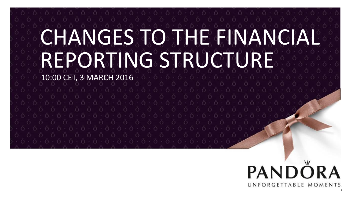# CHANGES TO THE FINANCI REPORTING STRUCTURE

10:00 CET, 3 MARCH 2016

## PANDÖRA UNFORGETTABLE MOMENTS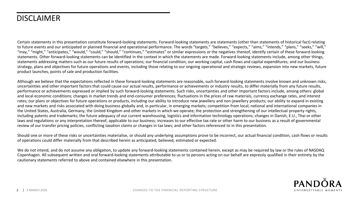#### DISCLAIMER

Certain statements in this presentation constitute forward-looking statements. Forward-looking statements are statements (other than statements of historical fact) relating to future events and our anticipated or planned financial and operational performance. The words "targets," "believes," "expects," "aims," "ntends," "plans," "seeks," "will," "may," "might," "anticipates," "would," "could," "should," "continues," "estimates" or similar expressions or the negatives thereof, identify certain of these forward-looking statements. Other forward-looking statements can be identified in the context in which the statements are made. Forward-looking statements include, among other things, statements addressing matters such as our future results of operations; our financial condition; our working capital, cash flows and capital expenditures; and our business strategy, plans and objectives for future operations and events, including those relating to our ongoing operational and strategic reviews, expansion into new markets, future product launches, points of sale and production facilities.

Although we believe that the expectations reflected in these forward-looking statements are reasonable, such forward-looking statements involve known and unknown risks, uncertainties and other important factors that could cause our actual results, performance or achievements or industry results, to differ materially from any future results, performance or achievements expressed or implied by such forward-looking statements. Such risks, uncertainties and other important factors include, among others: global and local economic conditions; changes in market trends and end-consumer preferences; fluctuations in the prices of raw materials, currency exchange rates, and interest rates; our plans or objectives for future operations or products, including our ability to introduce new jewellery and non-jewellery products; our ability to expand in existing and new markets and risks associated with doing business globally and, in particular, in emerging markets; competition from local, national and international companies in the United States, Australia, Germany, the United Kingdom and other markets in which we operate; the protection and strengthening of our intellectual property rights, including patents and trademarks; the future adequacy of our current warehousing, logistics and information technology operations; changes in Danish, E.U., Thai or other laws and regulations or any interpretation thereof, applicable to our business; increases to our effective tax rate or other harm to our business as a result of governmental review of our transfer pricing policies, conflicting taxation claims or changes in tax laws; and other factors referenced to in this presentation.

Should one or more of these risks or uncertainties materialise, or should any underlying assumptions prove to be incorrect, our actual financial condition, cash flows or results of operations could differ materially from that described herein as anticipated, believed, estimated or expected.

We do not intend, and do not assume any obligation, to update any forward-looking statements contained herein, except as may be required by law or the rules of NASDAQ Copenhagen. All subsequent written and oral forward-looking statements attributable to us or to persons acting on our behalf are expressly qualified in their entirety by the cautionary statements referred to above and contained elsewhere in this presentation.

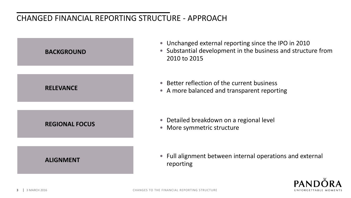## CHANGED FINANCIAL REPORTING STRUCTURE - APPROACH



- Unchanged external reporting since the IPO in 2010
- Substantial development in the business and structure from 2010 to 2015
- Better reflection of the current business
- A more balanced and transparent reporting

- Detailed breakdown on a regional level
- More symmetric structure

• Full alignment between internal operations and external reporting

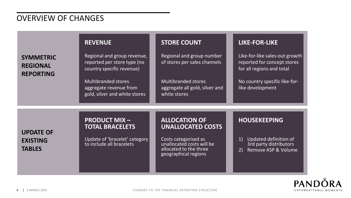#### OVERVIEW OF CHANGES

|                                                         | <b>REVENUE</b>                                                                          | <b>STORE COUNT</b>                                                                                  | <b>LIKE-FOR-LIKE</b>                                                                              |  |
|---------------------------------------------------------|-----------------------------------------------------------------------------------------|-----------------------------------------------------------------------------------------------------|---------------------------------------------------------------------------------------------------|--|
| <b>SYMMETRIC</b><br><b>REGIONAL</b><br><b>REPORTING</b> | Regional and group revenue,<br>reported per store type (no<br>country specific revenue) | Regional and group number<br>of stores per sales channels                                           | Like-for-like sales-out growth<br>reported for concept stores<br>for all regions and total        |  |
|                                                         | <b>Multibranded stores</b><br>aggregate revenue from<br>gold, silver and white stores   | <b>Multibranded stores</b><br>aggregate all gold, silver and<br>white stores                        | No country specific like-for-<br>like development                                                 |  |
|                                                         | <b>PRODUCT MIX-</b><br><b>TOTAL BRACELETS</b>                                           | <b>ALLOCATION OF</b><br><b>UNALLOCATED COSTS</b>                                                    | <b>HOUSEKEEPING</b>                                                                               |  |
| <b>UPDATE OF</b><br><b>EXISTING</b><br><b>TABLES</b>    | Update of 'bracelet' category<br>to include all bracelets                               | Costs categorised as<br>unallocated costs will be<br>allocated to the three<br>geographical regions | <b>Updated definition of</b><br>$\vert$ 1)<br>3rd party distributors<br>Remove ASP & Volume<br>2) |  |

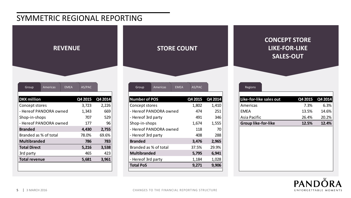#### SYMMETRIC REGIONAL REPORTING

| <b>REVENUE</b> |
|----------------|
|                |
|                |

| Group<br><b>EMEA</b><br>Americas | AS/PAC  |         |
|----------------------------------|---------|---------|
| <b>DKK</b> million               | Q4 2015 | Q4 2014 |
| Concept stores                   | 3,723   | 2,226   |
| - Hereof PANDORA owned           | 1,343   | 669     |
| Shop-in-shops                    | 707     | 529     |
| - Hereof PANDORA owned           | 177     | 96      |
| <b>Branded</b>                   | 4.430   | 2,755   |
| Branded as % of total            | 78.0%   | 69.6%   |
| <b>Multibranded</b>              | 786     | 783     |
| <b>Total Direct</b>              | 5,216   | 3,538   |
| 3rd party                        | 465     | 423     |
| <b>Total revenue</b>             | 5,681   | 3,961   |
|                                  |         |         |



| <b>Number of POS</b>   | Q4 2015 | Q4 2014 |
|------------------------|---------|---------|
| Concept stores         | 1,802   | 1,410   |
| - Hereof PANDORA owned | 474     | 251     |
| - Hereof 3rd party     | 491     | 346     |
| Shop-in-shops          | 1,674   | 1,555   |
| - Hereof PANDORA owned | 118     | 70      |
| - Hereof 3rd party     | 408     | 288     |
| <b>Branded</b>         | 3,476   | 2,965   |
| Branded as % of total  | 37.5%   | 29.9%   |
| <b>Multibranded</b>    | 5,795   | 6,941   |
| - Hereof 3rd party     | 1,184   | 1,028   |
| <b>Total PoS</b>       | 9.271   | 9,906   |
|                        |         |         |

#### **CONCEPT STORE LIKE-FOR-LIKE SALES-OUT**

| Like-for-like sales out    | Q4 2015 | Q4 2014 |
|----------------------------|---------|---------|
| Americas                   | 7.3%    | 6.3%    |
| <b>FMFA</b>                | 13.5%   | 14.6%   |
| Asia Pacific               | 26.4%   | 20.2%   |
| <b>Group like-for-like</b> | 12.5%   | 12.4%   |

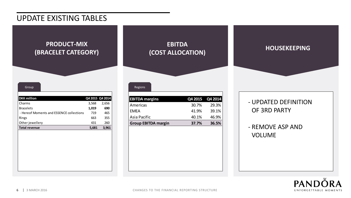#### UPDATE EXISTING TABLES

#### **PRODUCT-MIX (BRACELET CATEGORY)**

| Group                                    |       |                 |
|------------------------------------------|-------|-----------------|
| <b>DKK</b> million                       |       | Q4 2015 Q4 2014 |
| Charms                                   | 3,568 | 2,656           |
| <b>Bracelets</b>                         | 1,019 | 690             |
| - Hereof Moments and ESSENCE collections | 719   | 465             |
| Rings                                    | 663   | 355             |
| Other jewellery                          | 431   | 260             |
| <b>Total revenue</b>                     | 5,681 | 3,961           |
|                                          |       |                 |

#### **EBITDA (COST ALLOCATION) HOUSEKEEPING**

| <b>EBITDA</b> margins      |       | Q4 2015 Q4 2014 |
|----------------------------|-------|-----------------|
| Americas                   | 30.7% | 29.3%           |
| <b>FMFA</b>                | 41.9% | 39.1%           |
| Asia Pacific               | 40.1% | 46.9%           |
| <b>Group EBITDA margin</b> | 37.7% | 36.5%           |

#### - UPDATED DEFINITION OF 3RD PARTY

- REMOVE ASP AND VOLUME

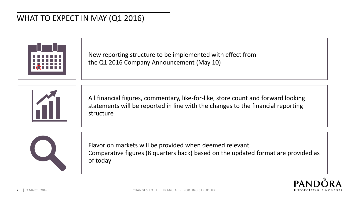## WHAT TO EXPECT IN MAY (Q1 2016)



New reporting structure to be implemented with effect from the Q1 2016 Company Announcement (May 10)



All financial figures, commentary, like-for-like, store count and forward looking statements will be reported in line with the changes to the financial reporting structure



Flavor on markets will be provided when deemed relevant Comparative figures (8 quarters back) based on the updated format are provided as of today